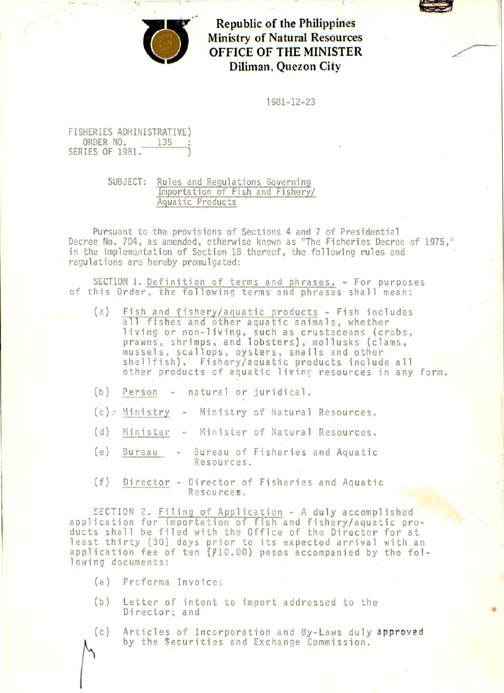

**Republic of the Philippines Ministry of Natural Resources OFFICE OF THE MINISTER Diliman, Quezon City** 

1981-12-23

FISHERIES ADMINISTRATIVE) ORDER NO. 135 ;<br>SERIES OF 1981.  $\overrightarrow{135}$ 

> SUBJECT: Rules and Regulations Governing Importation of Fish and Fishery/ Aquatic Products

Pursuant to the provisions of Sections 4 and 7 of Presidential Decree No. 704, as amended, otherwise known as "The Fisheries Decree of 1975," in the implementation of Section 18 thereof, the following rules and regulations are hereby promulgated:

SECTION 1. Definition of terms and phrases. - For purposes of this Order, the following terms and phrases shall mean:

- (a) Fish and fishery/aquatic products Fish includes all fishes and other aquatic animals, whether living or non-living, such as crustaceans (crabs, prawns, shrimps, and lobsters), mollusks (clams, mussels, scallops, oysters, snails and other shellfish). Fishery/aquatic products include all other products of aquatic living resources in any form.
- (b) Person natural or juridical.
- (c) Ministry Ministry of Natural Resources.
- (d) Minister Minister of Natural Resources.
- (e) Bureau Bureau of Fisheries and Aquatic Resources.
- (f) Director Director of Fisheries and Aquatic Resources.

SECTION 2. Filing of Application - A duly accomplished application for importation of fish and fishery/aquatic products shall be filed with the Office of the Director for at least thirty (30) days prior to its expected arrival with an application fee of ten  $(f10.00)$  pesos accompanied by the following documents:

- $(a)$  Proforma Invoice;
- (b) Letter of intent to import addressed to the Director; and
- (c) Articles of Incorporation and By-Laws duly approved by the Securities and Exchange Commission.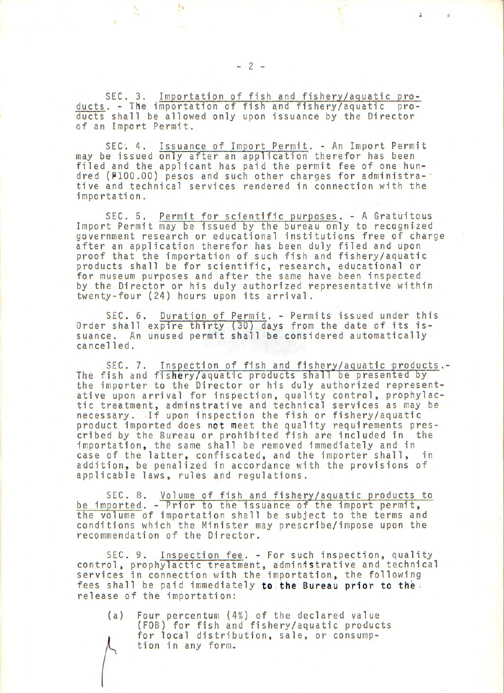SEC. 3. Importation of fish and fishery/aquatic products. - The importation of fish and fishery/aquatic products shall be allowed only upon issuance by the Director of an Import Permit.

SEC. 4. Issuance of Import Permit. - An Import Permit may be issued only after an application therefor has been filed and the applicant has paid the permit fee of one hundred (P100.00) pesos and such other charges for administrative and technical services rendered in connection with the importation.

SEC. 5. Permit for scientific purposes. - A Gratuitous Import Permit may be issued by the bureau only to recognized government research or educational institutions free of charge after an application therefor has been duly filed and upon proof that the importation of such fish and fishery/aquatic products shall be for scientific, research, educational or for museum purposes and after the same have, been inspected by the Director or his duly authorized representative within twenty-four (24) hours upon its arrival.

SEC. 6. Duration of Permit. - Permits issued under this Order shall expire thirty (30) days from the date of its issuance. An unused permit shall be considered automatically cancelled.

SEC. 7. Inspection of fish and fishery/aquatic products.- The fish and fishery/aquatic products shall be presented by the importer to the Director or his duly authorized representative upon arrival for inspection, quality control, prophylactic treatment, adminstrative and technical services as may be necessary. If upon inspection the fish or fishery/aquatic product imported does not meet the quality requirements prescribed by the Bureau or prohibited fish are included in the importation, the same shall be removed immediately and in case of the latter, confiscated, and the importer shall, in addition, be penalized in accordance with the provisions of applicable laws, rules and regulations.

SEC. 8. Volume of fish and fishery/aquatic products to be imported. - Prior to the issuance of the import permit, the volume of importation shall be subject to the terms and conditions which the Minister may prescribe/impose upon the recommendation of the Director.

SEC. 9. Inspection fee. - For such inspection, quality control, prophylactic treatment, administrative and technical services in connection with the importation, the following fees shall be paid immediately to the Bureau prior to the. release of the importation:

(a) Four percentum (4%) of the declared value (FOB) for fish and fishery/aquatic products for local distribution, sale, or consumption in any form.